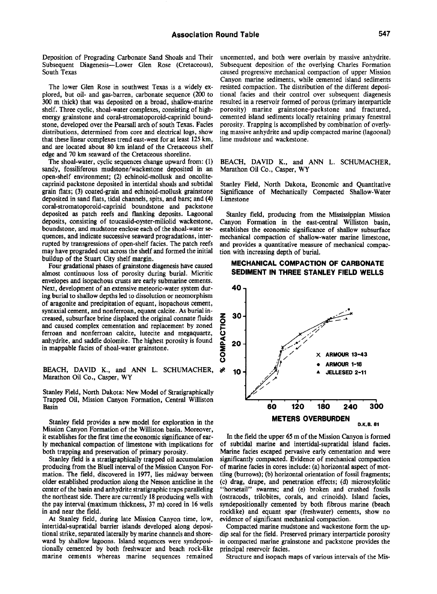Deposition of Prograding Carbonate Sand Shoals and Their Subsequent Diagenesis—Lower Glen Rose (Cretaceous), South Texas

The lower Glen Rose in southwest Texas is a widely explored, but oil- and gas-barren, carbonate sequence (200 to 300 m thick) that was deposited on a broad, shallow-marine shelf. Three cyclic, shoal-water complexes, consisting of highenergy grainstone and coral-stromatoporoid-caprinid boundstone, developed over the Pearsall arch of south Texas. Facies distributions, determined from core and electrical logs, show that these linear complexes trend east-west for at least 125 km, and are located about 80 km inland of the Cretaceous shelf edge and 70 km seaward of the Cretaceous shoreline.

The shoal-water, cyclic sequences change upward from: (1) sandy, fossiliferous mudstone/wackestone deposited in an open-shelf environment; (2) echinoid-mollusk and oncolitecaprinid packstone deposited in intertidal shoals and subtidal grain flats; (3) coated-grain and echinoid-mollusk grainstone deposited in sand flats, tidal channels, spits, and bars; and (4) coral-stromatoporoid-caprinid boundstone and packstone deposited as patch reefs and flanking deposits. Lagoonal deposits, consisting of toucasiid-oyster-miliolid wackestone, boundstone, and mudstone enclose each of the shoal-water sequences, and indicate successive seaward progradations, interrupted by transgressions of open-shelf facies. The patch reefs may have prograded out across the shelf and formed the initial buildup of the Stuart City shelf margin.

Four gradational phases of grainstone diagenesis have caused almost continuous loss of porosity during burial. Micritic envelopes and isopachous crusts are early submarine cements. Next, development of an extensive meteoric-water system during burial to shallow depths led to dissolution or neomorphism of aragonite and precipitation of equant, isopachous cement, syntaxial cement, and nonferroan, equant calcite. As burial increased, subsurface brine displaced the original connate fluids and caused complex cementation and replacement by zoned ferroan and nonferroan calcite, lutecite and megaquartz, anhydrite, and saddle dolomite. The highest porosity is found in mappable facies of shoal-water grainstone.

BEACH, DAVID K., and ANN L. SCHUMACHER,  $\aleph$ Marathon Oil Co., Casper, WY

Stanley Field, North Dakota: New Model of Stratigraphically Trapped Oil, Mission Canyon Formation, Central Williston Basin

Stanley field provides a new model for exploration in the Mission Canyon Formation of the Williston basin. Moreover, it establishes for the first time the economic significance of early mechanical compaction of limestone with implications for both trapping and preservation of primary porosity.

Stanley field is a stratigraphically trapped oil accumulation producing from the Bluell interval of the Mission Canyon Formation. The field, discovered in 1977, lies midway between older established production along the Nesson anticline in the center of the basin and anhydrite stratigraphic traps paralleling the northeast side. There are currently 18 producing wells with the pay interval (maximum thickness, 37 m) cored in 16 wells in and near the field.

At Stanley field, during late Mission Canyon time, low, intertidal-supratidal barrier islands developed along depositional strike, separated laterally by marine channels and shoreward by shallow lagoons. Island sequences were syndepositionally cemented by both freshwater and beach rock-like marine cements whereas marine sequences remained

uncemented, and both were overlain by massive anhydrite. Subsequent deposition of the overlying Charles Formation caused progressive mechanical compaction of upper Mission Canyon marine sediments, while cemented island sediments resisted compaction. The distribution of the different depositional facies and their control over subsequent diagenesis resuhed in a reservoir formed of porous (primary interparticle porosity) marine grainstone-packstone and fractured, cemented island sediments locally retaining primary fenestral porosity. Trapping is accomplished by combination of overlying massive anhydrite and updip compacted marine (lagoonal) lime mudstone and wackestone.

BEACH, DAVID K., and ANN L. SCHUMACHER, Marathon Oil Co., Casper, WY

Stanley Field, North Dakota, Economic and Quantitative Significance of Mechanically Compacted Shallow-Water Limestone

Stanley field, producing from the Mississippian Mission Canyon Formation in the east-central Williston basin, establishes the economic significance of shallow subsurface mechanical compaction of shallow-water marine limestone, and provides a quantitative measure of mechanical compaction with increasing depth of burial.

## **MECHANICAL COMPACTION OF CARBONATE SEDIMENT IN THREE STANLEY FIELD WELLS**



In the field the upper 65 m of the Mission Canyon is formed of subtidal marine and intertidal-supratidal island facies. Marine facies escaped pervasive early cementation and were significantly compacted. Evidence of mechanical compaction of marine facies in cores include: (a) horizontal aspect of mottling (burrows); (b) horizontal orientation of fossil fragments; (c) drag, drape, and penetration effects; (d) microstylolitic "horsetail" swarms; and (e) broken and crushed fossils (ostracods, trilobites, corals, and crinoids). Island facies, syndepositionally cemented by both fibrous marine (beach rocklike) and equant spar (freshwater) cements, show no evidence of significant mechanical compaction.

Compacted marine mudstone and wackestone form the updip seal for the field. Preserved primary interparticle porosity in compacted marine grainstone and packstone provides the principal reservoir facies.

Structure and isopach maps of various intervals of the Mis-